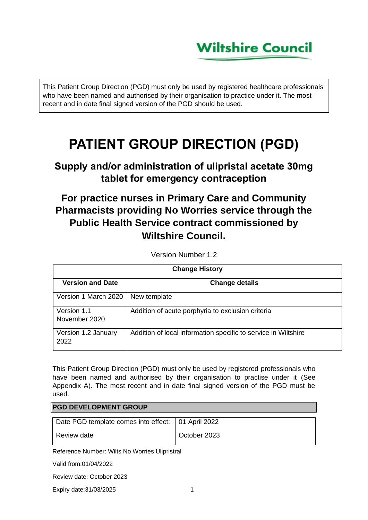# **Wiltshire Council**

This Patient Group Direction (PGD) must only be used by registered healthcare professionals who have been named and authorised by their organisation to practice under it. The most recent and in date final signed version of the PGD should be used.

# **PATIENT GROUP DIRECTION (PGD)**

## **Supply and/or administration of ulipristal acetate 30mg tablet for emergency contraception**

## **For practice nurses in Primary Care and Community Pharmacists providing No Worries service through the Public Health Service contract commissioned by Wiltshire Council.**

Version Number 1.2

| <b>Change History</b>        |                                                                |
|------------------------------|----------------------------------------------------------------|
| <b>Version and Date</b>      | <b>Change details</b>                                          |
| Version 1 March 2020         | New template                                                   |
| Version 1.1<br>November 2020 | Addition of acute porphyria to exclusion criteria              |
| Version 1.2 January<br>2022  | Addition of local information specific to service in Wiltshire |

This Patient Group Direction (PGD) must only be used by registered professionals who have been named and authorised by their organisation to practise under it (See Appendix A). The most recent and in date final signed version of the PGD must be used.

### **PGD DEVELOPMENT GROUP**

| Date PGD template comes into effect:   01 April 2022 |              |
|------------------------------------------------------|--------------|
| Review date                                          | October 2023 |

Reference Number: Wilts No Worries Ulipristral

Valid from:01/04/2022

Review date: October 2023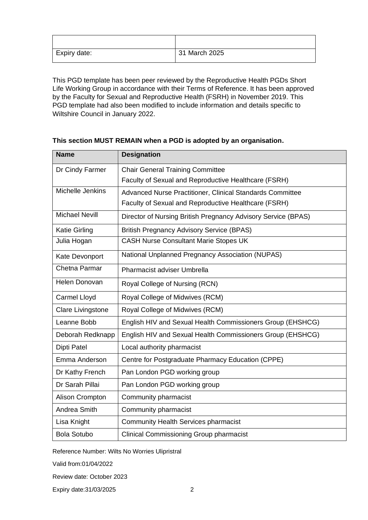| Expiry date: | 31 March 2025 |
|--------------|---------------|

This PGD template has been peer reviewed by the Reproductive Health PGDs Short Life Working Group in accordance with their Terms of Reference. It has been approved by the Faculty for Sexual and Reproductive Health (FSRH) in November 2019. This PGD template had also been modified to include information and details specific to Wiltshire Council in January 2022.

| <b>Name</b>              | <b>Designation</b>                                            |
|--------------------------|---------------------------------------------------------------|
| Dr Cindy Farmer          | <b>Chair General Training Committee</b>                       |
|                          | Faculty of Sexual and Reproductive Healthcare (FSRH)          |
| Michelle Jenkins         | Advanced Nurse Practitioner, Clinical Standards Committee     |
|                          | Faculty of Sexual and Reproductive Healthcare (FSRH)          |
| <b>Michael Nevill</b>    | Director of Nursing British Pregnancy Advisory Service (BPAS) |
| <b>Katie Girling</b>     | <b>British Pregnancy Advisory Service (BPAS)</b>              |
| Julia Hogan              | <b>CASH Nurse Consultant Marie Stopes UK</b>                  |
| Kate Devonport           | National Unplanned Pregnancy Association (NUPAS)              |
| Chetna Parmar            | Pharmacist adviser Umbrella                                   |
| Helen Donovan            | Royal College of Nursing (RCN)                                |
| <b>Carmel Lloyd</b>      | Royal College of Midwives (RCM)                               |
| <b>Clare Livingstone</b> | Royal College of Midwives (RCM)                               |
| Leanne Bobb              | English HIV and Sexual Health Commissioners Group (EHSHCG)    |
| Deborah Redknapp         | English HIV and Sexual Health Commissioners Group (EHSHCG)    |
| <b>Dipti Patel</b>       | Local authority pharmacist                                    |
| Emma Anderson            | Centre for Postgraduate Pharmacy Education (CPPE)             |
| Dr Kathy French          | Pan London PGD working group                                  |
| Dr Sarah Pillai          | Pan London PGD working group                                  |
| <b>Alison Crompton</b>   | Community pharmacist                                          |
| Andrea Smith             | Community pharmacist                                          |
| Lisa Knight              | <b>Community Health Services pharmacist</b>                   |
| <b>Bola Sotubo</b>       | <b>Clinical Commissioning Group pharmacist</b>                |

### **This section MUST REMAIN when a PGD is adopted by an organisation.**

Reference Number: Wilts No Worries Ulipristral

Valid from:01/04/2022

Review date: October 2023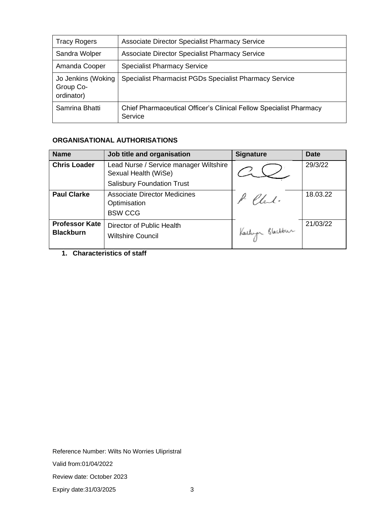| <b>Tracy Rogers</b>                           | <b>Associate Director Specialist Pharmacy Service</b>                         |
|-----------------------------------------------|-------------------------------------------------------------------------------|
| Sandra Wolper                                 | <b>Associate Director Specialist Pharmacy Service</b>                         |
| Amanda Cooper                                 | <b>Specialist Pharmacy Service</b>                                            |
| Jo Jenkins (Woking<br>Group Co-<br>ordinator) | Specialist Pharmacist PGDs Specialist Pharmacy Service                        |
| Samrina Bhatti                                | Chief Pharmaceutical Officer's Clinical Fellow Specialist Pharmacy<br>Service |

### **ORGANISATIONAL AUTHORISATIONS**

| <b>Name</b>                               | Job title and organisation                                                                          | <b>Signature</b> | <b>Date</b> |
|-------------------------------------------|-----------------------------------------------------------------------------------------------------|------------------|-------------|
| <b>Chris Loader</b>                       | Lead Nurse / Service manager Wiltshire<br>Sexual Health (WiSe)<br><b>Salisbury Foundation Trust</b> |                  | 29/3/22     |
| <b>Paul Clarke</b>                        | <b>Associate Director Medicines</b><br>Optimisation<br><b>BSW CCG</b>                               | lat.             | 18.03.22    |
| <b>Professor Kate</b><br><b>Blackburn</b> | Director of Public Health<br><b>Wiltshire Council</b>                                               | Kartuga Blackbur | 21/03/22    |

**1. Characteristics of staff**

Reference Number: Wilts No Worries Ulipristral

Valid from:01/04/2022

Review date: October 2023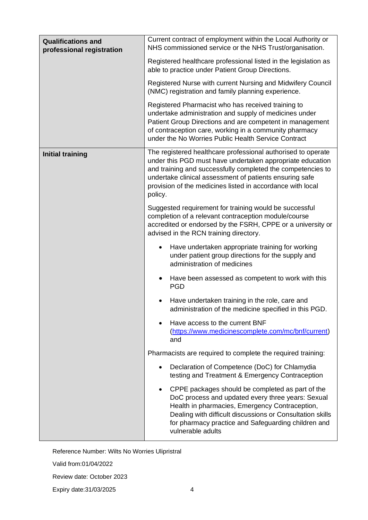| <b>Qualifications and</b><br>professional registration | Current contract of employment within the Local Authority or<br>NHS commissioned service or the NHS Trust/organisation.                                                                                                                                                                                                      |
|--------------------------------------------------------|------------------------------------------------------------------------------------------------------------------------------------------------------------------------------------------------------------------------------------------------------------------------------------------------------------------------------|
|                                                        | Registered healthcare professional listed in the legislation as<br>able to practice under Patient Group Directions.                                                                                                                                                                                                          |
|                                                        | Registered Nurse with current Nursing and Midwifery Council<br>(NMC) registration and family planning experience.                                                                                                                                                                                                            |
|                                                        | Registered Pharmacist who has received training to<br>undertake administration and supply of medicines under<br>Patient Group Directions and are competent in management<br>of contraception care, working in a community pharmacy<br>under the No Worries Public Health Service Contract                                    |
| <b>Initial training</b>                                | The registered healthcare professional authorised to operate<br>under this PGD must have undertaken appropriate education<br>and training and successfully completed the competencies to<br>undertake clinical assessment of patients ensuring safe<br>provision of the medicines listed in accordance with local<br>policy. |
|                                                        | Suggested requirement for training would be successful<br>completion of a relevant contraception module/course<br>accredited or endorsed by the FSRH, CPPE or a university or<br>advised in the RCN training directory.                                                                                                      |
|                                                        | Have undertaken appropriate training for working<br>$\bullet$<br>under patient group directions for the supply and<br>administration of medicines                                                                                                                                                                            |
|                                                        | Have been assessed as competent to work with this<br>٠<br><b>PGD</b>                                                                                                                                                                                                                                                         |
|                                                        | Have undertaken training in the role, care and<br>٠<br>administration of the medicine specified in this PGD.                                                                                                                                                                                                                 |
|                                                        | Have access to the current BNF<br>(https://www.medicinescomplete.com/mc/bnf/current)<br>and                                                                                                                                                                                                                                  |
|                                                        | Pharmacists are required to complete the required training:                                                                                                                                                                                                                                                                  |
|                                                        | Declaration of Competence (DoC) for Chlamydia<br>٠<br>testing and Treatment & Emergency Contraception                                                                                                                                                                                                                        |
|                                                        | CPPE packages should be completed as part of the<br>$\bullet$<br>DoC process and updated every three years: Sexual<br>Health in pharmacies, Emergency Contraception,<br>Dealing with difficult discussions or Consultation skills<br>for pharmacy practice and Safeguarding children and<br>vulnerable adults                |

Valid from:01/04/2022

Review date: October 2023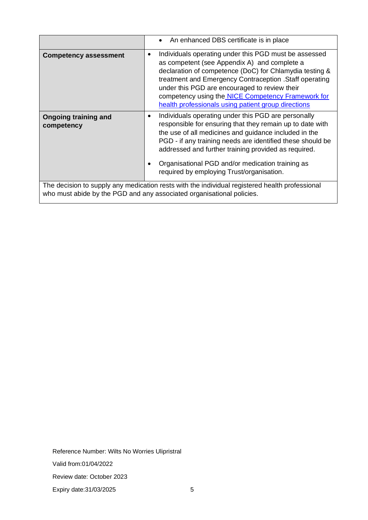|                                                                                                                                                                         | An enhanced DBS certificate is in place<br>$\bullet$                                                                                                                                                                                                                                                                                                                                                   |
|-------------------------------------------------------------------------------------------------------------------------------------------------------------------------|--------------------------------------------------------------------------------------------------------------------------------------------------------------------------------------------------------------------------------------------------------------------------------------------------------------------------------------------------------------------------------------------------------|
| <b>Competency assessment</b>                                                                                                                                            | Individuals operating under this PGD must be assessed<br>$\bullet$<br>as competent (see Appendix A) and complete a<br>declaration of competence (DoC) for Chlamydia testing &<br>treatment and Emergency Contraception . Staff operating<br>under this PGD are encouraged to review their<br>competency using the NICE Competency Framework for<br>health professionals using patient group directions |
| <b>Ongoing training and</b><br>competency                                                                                                                               | Individuals operating under this PGD are personally<br>٠<br>responsible for ensuring that they remain up to date with<br>the use of all medicines and guidance included in the<br>PGD - if any training needs are identified these should be<br>addressed and further training provided as required.<br>Organisational PGD and/or medication training as<br>required by employing Trust/organisation.  |
| The decision to supply any medication rests with the individual registered health professional<br>who must abide by the PGD and any associated organisational policies. |                                                                                                                                                                                                                                                                                                                                                                                                        |

Reference Number: Wilts No Worries Ulipristral Valid from:01/04/2022 Review date: October 2023 Expiry date: 31/03/2025 5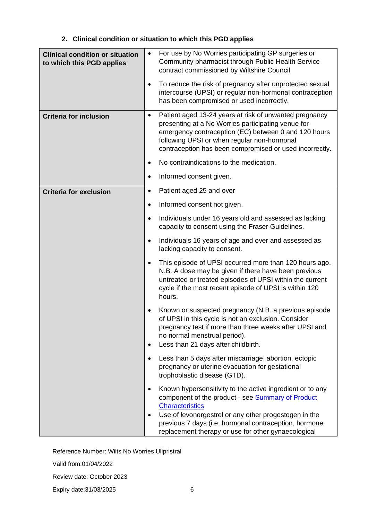| <b>Clinical condition or situation</b><br>to which this PGD applies | For use by No Worries participating GP surgeries or<br>$\bullet$<br>Community pharmacist through Public Health Service<br>contract commissioned by Wiltshire Council                                                                                                                |
|---------------------------------------------------------------------|-------------------------------------------------------------------------------------------------------------------------------------------------------------------------------------------------------------------------------------------------------------------------------------|
|                                                                     | To reduce the risk of pregnancy after unprotected sexual<br>$\bullet$<br>intercourse (UPSI) or regular non-hormonal contraception<br>has been compromised or used incorrectly.                                                                                                      |
| <b>Criteria for inclusion</b>                                       | Patient aged 13-24 years at risk of unwanted pregnancy<br>٠<br>presenting at a No Worries participating venue for<br>emergency contraception (EC) between 0 and 120 hours<br>following UPSI or when regular non-hormonal<br>contraception has been compromised or used incorrectly. |
|                                                                     | No contraindications to the medication.<br>$\bullet$                                                                                                                                                                                                                                |
|                                                                     | Informed consent given.<br>$\bullet$                                                                                                                                                                                                                                                |
| <b>Criteria for exclusion</b>                                       | Patient aged 25 and over<br>$\bullet$                                                                                                                                                                                                                                               |
|                                                                     | Informed consent not given.<br>$\bullet$                                                                                                                                                                                                                                            |
|                                                                     | Individuals under 16 years old and assessed as lacking<br>$\bullet$<br>capacity to consent using the Fraser Guidelines.                                                                                                                                                             |
|                                                                     | Individuals 16 years of age and over and assessed as<br>$\bullet$<br>lacking capacity to consent.                                                                                                                                                                                   |
|                                                                     | This episode of UPSI occurred more than 120 hours ago.<br>$\bullet$<br>N.B. A dose may be given if there have been previous<br>untreated or treated episodes of UPSI within the current<br>cycle if the most recent episode of UPSI is within 120<br>hours.                         |
|                                                                     | Known or suspected pregnancy (N.B. a previous episode<br>of UPSI in this cycle is not an exclusion. Consider<br>pregnancy test if more than three weeks after UPSI and<br>no normal menstrual period).<br>Less than 21 days after childbirth.<br>$\bullet$                          |
|                                                                     | Less than 5 days after miscarriage, abortion, ectopic<br>$\bullet$<br>pregnancy or uterine evacuation for gestational<br>trophoblastic disease (GTD).                                                                                                                               |
|                                                                     | Known hypersensitivity to the active ingredient or to any<br>$\bullet$<br>component of the product - see <b>Summary of Product</b><br><b>Characteristics</b>                                                                                                                        |
|                                                                     | Use of levonorgestrel or any other progestogen in the<br>$\bullet$<br>previous 7 days (i.e. hormonal contraception, hormone<br>replacement therapy or use for other gynaecological                                                                                                  |

### **2. Clinical condition or situation to which this PGD applies**

Reference Number: Wilts No Worries Ulipristral

Valid from:01/04/2022

Review date: October 2023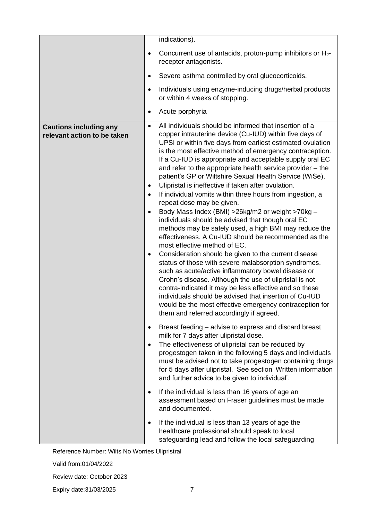|                                                              | indications).                                                                                                                                                                                                                                                                                                                                                                                                                                                                                                                                                                                                                                                                                                                                                                                                                                                                                                                                                                                                                                                                                                                                                                                                                                                                                                                                                             |
|--------------------------------------------------------------|---------------------------------------------------------------------------------------------------------------------------------------------------------------------------------------------------------------------------------------------------------------------------------------------------------------------------------------------------------------------------------------------------------------------------------------------------------------------------------------------------------------------------------------------------------------------------------------------------------------------------------------------------------------------------------------------------------------------------------------------------------------------------------------------------------------------------------------------------------------------------------------------------------------------------------------------------------------------------------------------------------------------------------------------------------------------------------------------------------------------------------------------------------------------------------------------------------------------------------------------------------------------------------------------------------------------------------------------------------------------------|
|                                                              | Concurrent use of antacids, proton-pump inhibitors or $H_2$ -<br>$\bullet$<br>receptor antagonists.                                                                                                                                                                                                                                                                                                                                                                                                                                                                                                                                                                                                                                                                                                                                                                                                                                                                                                                                                                                                                                                                                                                                                                                                                                                                       |
|                                                              | Severe asthma controlled by oral glucocorticoids.<br>$\bullet$                                                                                                                                                                                                                                                                                                                                                                                                                                                                                                                                                                                                                                                                                                                                                                                                                                                                                                                                                                                                                                                                                                                                                                                                                                                                                                            |
|                                                              | Individuals using enzyme-inducing drugs/herbal products<br>$\bullet$<br>or within 4 weeks of stopping.                                                                                                                                                                                                                                                                                                                                                                                                                                                                                                                                                                                                                                                                                                                                                                                                                                                                                                                                                                                                                                                                                                                                                                                                                                                                    |
|                                                              | Acute porphyria<br>$\bullet$                                                                                                                                                                                                                                                                                                                                                                                                                                                                                                                                                                                                                                                                                                                                                                                                                                                                                                                                                                                                                                                                                                                                                                                                                                                                                                                                              |
| <b>Cautions including any</b><br>relevant action to be taken | All individuals should be informed that insertion of a<br>$\bullet$<br>copper intrauterine device (Cu-IUD) within five days of<br>UPSI or within five days from earliest estimated ovulation<br>is the most effective method of emergency contraception.<br>If a Cu-IUD is appropriate and acceptable supply oral EC<br>and refer to the appropriate health service provider - the<br>patient's GP or Wiltshire Sexual Health Service (WiSe).<br>Ulipristal is ineffective if taken after ovulation.<br>$\bullet$<br>If individual vomits within three hours from ingestion, a<br>$\bullet$<br>repeat dose may be given.<br>Body Mass Index (BMI) > 26kg/m2 or weight > 70kg -<br>$\bullet$<br>individuals should be advised that though oral EC<br>methods may be safely used, a high BMI may reduce the<br>effectiveness. A Cu-IUD should be recommended as the<br>most effective method of EC.<br>Consideration should be given to the current disease<br>$\bullet$<br>status of those with severe malabsorption syndromes,<br>such as acute/active inflammatory bowel disease or<br>Crohn's disease. Although the use of ulipristal is not<br>contra-indicated it may be less effective and so these<br>individuals should be advised that insertion of Cu-IUD<br>would be the most effective emergency contraception for<br>them and referred accordingly if agreed. |
|                                                              | Breast feeding – advise to express and discard breast<br>$\bullet$<br>milk for 7 days after ulipristal dose.<br>The effectiveness of ulipristal can be reduced by<br>$\bullet$<br>progestogen taken in the following 5 days and individuals<br>must be advised not to take progestogen containing drugs<br>for 5 days after ulipristal. See section 'Written information<br>and further advice to be given to individual'.                                                                                                                                                                                                                                                                                                                                                                                                                                                                                                                                                                                                                                                                                                                                                                                                                                                                                                                                                |
|                                                              | If the individual is less than 16 years of age an<br>$\bullet$<br>assessment based on Fraser guidelines must be made<br>and documented.                                                                                                                                                                                                                                                                                                                                                                                                                                                                                                                                                                                                                                                                                                                                                                                                                                                                                                                                                                                                                                                                                                                                                                                                                                   |
|                                                              | If the individual is less than 13 years of age the<br>$\bullet$<br>healthcare professional should speak to local<br>safeguarding lead and follow the local safeguarding                                                                                                                                                                                                                                                                                                                                                                                                                                                                                                                                                                                                                                                                                                                                                                                                                                                                                                                                                                                                                                                                                                                                                                                                   |

Valid from:01/04/2022

Review date: October 2023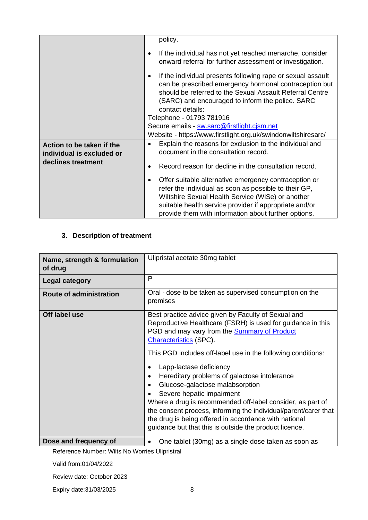|                                                        | policy.                                                                                                                                                                                                                                                                                            |
|--------------------------------------------------------|----------------------------------------------------------------------------------------------------------------------------------------------------------------------------------------------------------------------------------------------------------------------------------------------------|
|                                                        |                                                                                                                                                                                                                                                                                                    |
|                                                        | If the individual has not yet reached menarche, consider<br>٠<br>onward referral for further assessment or investigation.                                                                                                                                                                          |
|                                                        | If the individual presents following rape or sexual assault<br>$\bullet$<br>can be prescribed emergency hormonal contraception but<br>should be referred to the Sexual Assault Referral Centre<br>(SARC) and encouraged to inform the police. SARC<br>contact details:<br>Telephone - 01793 781916 |
|                                                        |                                                                                                                                                                                                                                                                                                    |
|                                                        | Secure emails - sw.sarc@firstlight.cjsm.net                                                                                                                                                                                                                                                        |
|                                                        | Website - https://www.firstlight.org.uk/swindonwiltshiresarc/                                                                                                                                                                                                                                      |
| Action to be taken if the<br>individual is excluded or | Explain the reasons for exclusion to the individual and<br>$\bullet$<br>document in the consultation record.                                                                                                                                                                                       |
| declines treatment                                     | Record reason for decline in the consultation record.<br>$\bullet$                                                                                                                                                                                                                                 |
|                                                        | Offer suitable alternative emergency contraception or<br>$\bullet$<br>refer the individual as soon as possible to their GP,<br>Wiltshire Sexual Health Service (WiSe) or another<br>suitable health service provider if appropriate and/or<br>provide them with information about further options. |

### **3. Description of treatment**

| Name, strength & formulation<br>of drug | Ulipristal acetate 30mg tablet                                                                                                                                                                                                                                                                                                                                                                                                                                                                                                                                                                                                                                                         |
|-----------------------------------------|----------------------------------------------------------------------------------------------------------------------------------------------------------------------------------------------------------------------------------------------------------------------------------------------------------------------------------------------------------------------------------------------------------------------------------------------------------------------------------------------------------------------------------------------------------------------------------------------------------------------------------------------------------------------------------------|
| <b>Legal category</b>                   | P                                                                                                                                                                                                                                                                                                                                                                                                                                                                                                                                                                                                                                                                                      |
| <b>Route of administration</b>          | Oral - dose to be taken as supervised consumption on the<br>premises                                                                                                                                                                                                                                                                                                                                                                                                                                                                                                                                                                                                                   |
| Off label use                           | Best practice advice given by Faculty of Sexual and<br>Reproductive Healthcare (FSRH) is used for guidance in this<br>PGD and may vary from the <b>Summary of Product</b><br><b>Characteristics (SPC).</b><br>This PGD includes off-label use in the following conditions:<br>Lapp-lactase deficiency<br>Hereditary problems of galactose intolerance<br>Glucose-galactose malabsorption<br>$\bullet$<br>Severe hepatic impairment<br>Where a drug is recommended off-label consider, as part of<br>the consent process, informing the individual/parent/carer that<br>the drug is being offered in accordance with national<br>guidance but that this is outside the product licence. |
| Dose and frequency of                   | One tablet (30mg) as a single dose taken as soon as                                                                                                                                                                                                                                                                                                                                                                                                                                                                                                                                                                                                                                    |

Reference Number: Wilts No Worries Ulipristral

Valid from:01/04/2022

Review date: October 2023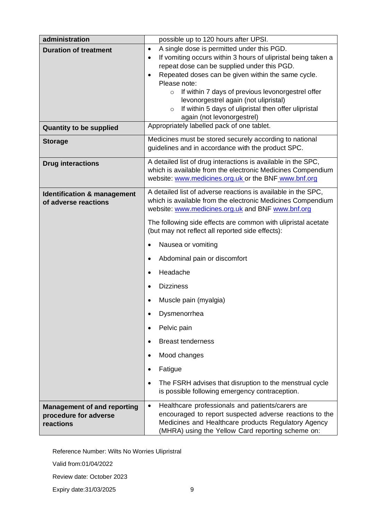| administration                                                           | possible up to 120 hours after UPSI.                                                                                                                                                                                                 |  |  |  |
|--------------------------------------------------------------------------|--------------------------------------------------------------------------------------------------------------------------------------------------------------------------------------------------------------------------------------|--|--|--|
| <b>Duration of treatment</b>                                             | A single dose is permitted under this PGD.<br>$\bullet$<br>If vomiting occurs within 3 hours of ulipristal being taken a<br>$\bullet$                                                                                                |  |  |  |
|                                                                          | repeat dose can be supplied under this PGD.                                                                                                                                                                                          |  |  |  |
|                                                                          | Repeated doses can be given within the same cycle.<br>Please note:                                                                                                                                                                   |  |  |  |
|                                                                          | If within 7 days of previous levonorgestrel offer<br>$\circ$                                                                                                                                                                         |  |  |  |
|                                                                          | levonorgestrel again (not ulipristal)                                                                                                                                                                                                |  |  |  |
|                                                                          | If within 5 days of ulipristal then offer ulipristal<br>$\circ$<br>again (not levonorgestrel)                                                                                                                                        |  |  |  |
| <b>Quantity to be supplied</b>                                           | Appropriately labelled pack of one tablet.                                                                                                                                                                                           |  |  |  |
| <b>Storage</b>                                                           | Medicines must be stored securely according to national<br>guidelines and in accordance with the product SPC.                                                                                                                        |  |  |  |
| <b>Drug interactions</b>                                                 | A detailed list of drug interactions is available in the SPC,<br>which is available from the electronic Medicines Compendium                                                                                                         |  |  |  |
|                                                                          | website: www.medicines.org.uk or the BNF www.bnf.org                                                                                                                                                                                 |  |  |  |
| <b>Identification &amp; management</b>                                   | A detailed list of adverse reactions is available in the SPC,<br>which is available from the electronic Medicines Compendium                                                                                                         |  |  |  |
| of adverse reactions                                                     | website: www.medicines.org.uk and BNF www.bnf.org                                                                                                                                                                                    |  |  |  |
|                                                                          | The following side effects are common with ulipristal acetate<br>(but may not reflect all reported side effects):<br>Nausea or vomiting                                                                                              |  |  |  |
|                                                                          |                                                                                                                                                                                                                                      |  |  |  |
|                                                                          | Abdominal pain or discomfort<br>$\bullet$                                                                                                                                                                                            |  |  |  |
|                                                                          | Headache                                                                                                                                                                                                                             |  |  |  |
|                                                                          | <b>Dizziness</b>                                                                                                                                                                                                                     |  |  |  |
|                                                                          | Muscle pain (myalgia)                                                                                                                                                                                                                |  |  |  |
|                                                                          | Dysmenorrhea                                                                                                                                                                                                                         |  |  |  |
|                                                                          | Pelvic pain                                                                                                                                                                                                                          |  |  |  |
|                                                                          | <b>Breast tenderness</b>                                                                                                                                                                                                             |  |  |  |
|                                                                          | Mood changes                                                                                                                                                                                                                         |  |  |  |
|                                                                          | Fatigue<br>$\bullet$                                                                                                                                                                                                                 |  |  |  |
|                                                                          | The FSRH advises that disruption to the menstrual cycle<br>$\bullet$<br>is possible following emergency contraception.                                                                                                               |  |  |  |
| <b>Management of and reporting</b><br>procedure for adverse<br>reactions | Healthcare professionals and patients/carers are<br>$\bullet$<br>encouraged to report suspected adverse reactions to the<br>Medicines and Healthcare products Regulatory Agency<br>(MHRA) using the Yellow Card reporting scheme on: |  |  |  |

Valid from:01/04/2022

Review date: October 2023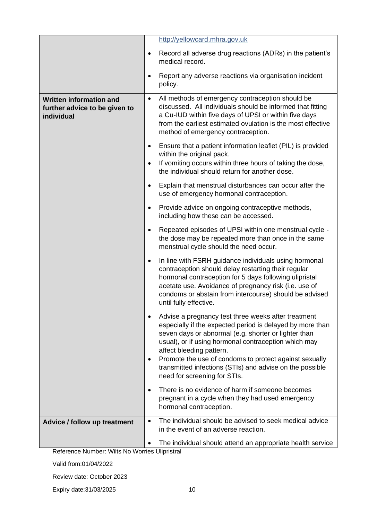|                                                                               | http://yellowcard.mhra.gov.uk                                                                                                                                                                                                                                                                                                    |
|-------------------------------------------------------------------------------|----------------------------------------------------------------------------------------------------------------------------------------------------------------------------------------------------------------------------------------------------------------------------------------------------------------------------------|
|                                                                               | Record all adverse drug reactions (ADRs) in the patient's<br>$\bullet$<br>medical record.                                                                                                                                                                                                                                        |
|                                                                               | Report any adverse reactions via organisation incident<br>$\bullet$<br>policy.                                                                                                                                                                                                                                                   |
| <b>Written information and</b><br>further advice to be given to<br>individual | All methods of emergency contraception should be<br>$\bullet$<br>discussed. All individuals should be informed that fitting<br>a Cu-IUD within five days of UPSI or within five days<br>from the earliest estimated ovulation is the most effective<br>method of emergency contraception.                                        |
|                                                                               | Ensure that a patient information leaflet (PIL) is provided<br>$\bullet$<br>within the original pack.<br>If vomiting occurs within three hours of taking the dose,<br>$\bullet$<br>the individual should return for another dose.                                                                                                |
|                                                                               | Explain that menstrual disturbances can occur after the<br>$\bullet$<br>use of emergency hormonal contraception.                                                                                                                                                                                                                 |
|                                                                               | Provide advice on ongoing contraceptive methods,<br>$\bullet$<br>including how these can be accessed.                                                                                                                                                                                                                            |
|                                                                               | Repeated episodes of UPSI within one menstrual cycle -<br>the dose may be repeated more than once in the same<br>menstrual cycle should the need occur.                                                                                                                                                                          |
|                                                                               | In line with FSRH guidance individuals using hormonal<br>$\bullet$<br>contraception should delay restarting their regular<br>hormonal contraception for 5 days following ulipristal<br>acetate use. Avoidance of pregnancy risk (i.e. use of<br>condoms or abstain from intercourse) should be advised<br>until fully effective. |
|                                                                               | Advise a pregnancy test three weeks after treatment<br>$\bullet$<br>especially if the expected period is delayed by more than<br>seven days or abnormal (e.g. shorter or lighter than<br>usual), or if using hormonal contraception which may<br>affect bleeding pattern.                                                        |
|                                                                               | Promote the use of condoms to protect against sexually<br>٠<br>transmitted infections (STIs) and advise on the possible<br>need for screening for STIs.                                                                                                                                                                          |
|                                                                               | There is no evidence of harm if someone becomes<br>٠<br>pregnant in a cycle when they had used emergency<br>hormonal contraception.                                                                                                                                                                                              |
| Advice / follow up treatment                                                  | The individual should be advised to seek medical advice<br>٠<br>in the event of an adverse reaction.                                                                                                                                                                                                                             |
|                                                                               | The individual should attend an appropriate health service                                                                                                                                                                                                                                                                       |

Valid from:01/04/2022

Review date: October 2023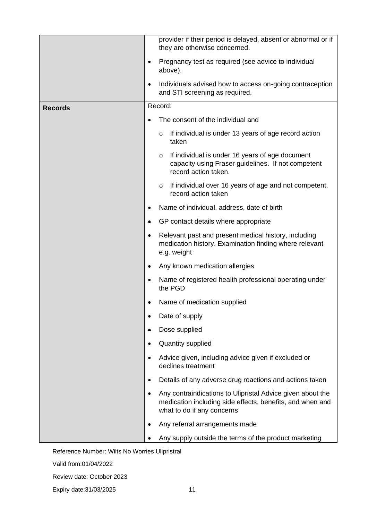|                | provider if their period is delayed, absent or abnormal or if<br>they are otherwise concerned.<br>Pregnancy test as required (see advice to individual<br>$\bullet$<br>above).                                                 |  |  |  |
|----------------|--------------------------------------------------------------------------------------------------------------------------------------------------------------------------------------------------------------------------------|--|--|--|
|                |                                                                                                                                                                                                                                |  |  |  |
|                | Individuals advised how to access on-going contraception<br>$\bullet$<br>and STI screening as required.                                                                                                                        |  |  |  |
| <b>Records</b> | Record:                                                                                                                                                                                                                        |  |  |  |
|                | The consent of the individual and                                                                                                                                                                                              |  |  |  |
|                | If individual is under 13 years of age record action<br>$\circ$<br>taken                                                                                                                                                       |  |  |  |
|                | If individual is under 16 years of age document<br>$\circ$<br>capacity using Fraser guidelines. If not competent<br>record action taken.                                                                                       |  |  |  |
|                | If individual over 16 years of age and not competent,<br>$\circ$<br>record action taken                                                                                                                                        |  |  |  |
|                | Name of individual, address, date of birth<br>٠                                                                                                                                                                                |  |  |  |
|                | GP contact details where appropriate<br>۰<br>Relevant past and present medical history, including<br>$\bullet$<br>medication history. Examination finding where relevant<br>e.g. weight<br>Any known medication allergies<br>٠ |  |  |  |
|                |                                                                                                                                                                                                                                |  |  |  |
|                |                                                                                                                                                                                                                                |  |  |  |
|                | Name of registered health professional operating under<br>$\bullet$<br>the PGD                                                                                                                                                 |  |  |  |
|                | Name of medication supplied                                                                                                                                                                                                    |  |  |  |
|                | Date of supply<br>٠                                                                                                                                                                                                            |  |  |  |
|                | Dose supplied<br>٠                                                                                                                                                                                                             |  |  |  |
|                | Quantity supplied                                                                                                                                                                                                              |  |  |  |
|                | Advice given, including advice given if excluded or<br>$\bullet$<br>declines treatment                                                                                                                                         |  |  |  |
|                | Details of any adverse drug reactions and actions taken<br>$\bullet$                                                                                                                                                           |  |  |  |
|                | Any contraindications to Ulipristal Advice given about the<br>$\bullet$<br>medication including side effects, benefits, and when and<br>what to do if any concerns                                                             |  |  |  |
|                | Any referral arrangements made                                                                                                                                                                                                 |  |  |  |
|                | Any supply outside the terms of the product marketing                                                                                                                                                                          |  |  |  |

Valid from:01/04/2022

Review date: October 2023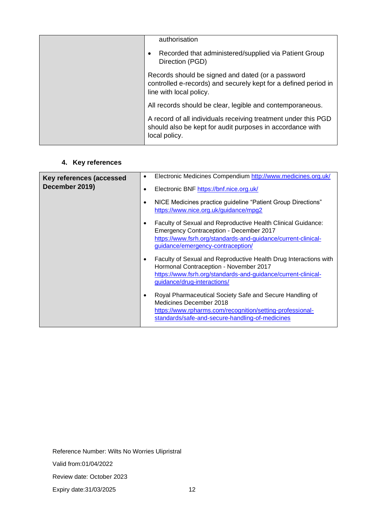| authorisation                                                                                                                                   |
|-------------------------------------------------------------------------------------------------------------------------------------------------|
| Recorded that administered/supplied via Patient Group<br>٠<br>Direction (PGD)                                                                   |
| Records should be signed and dated (or a password<br>controlled e-records) and securely kept for a defined period in<br>line with local policy. |
| All records should be clear, legible and contemporaneous.                                                                                       |
| A record of all individuals receiving treatment under this PGD<br>should also be kept for audit purposes in accordance with<br>local policy.    |

### **4. Key references**

| Key references (accessed<br>December 2019) | Electronic Medicines Compendium http://www.medicines.org.uk/<br>$\bullet$<br>Electronic BNF https://bnf.nice.org.uk/<br>$\bullet$<br>NICE Medicines practice guideline "Patient Group Directions"<br>$\bullet$<br>https://www.nice.org.uk/guidance/mpg2 |
|--------------------------------------------|---------------------------------------------------------------------------------------------------------------------------------------------------------------------------------------------------------------------------------------------------------|
|                                            | Faculty of Sexual and Reproductive Health Clinical Guidance:<br>$\bullet$<br><b>Emergency Contraception - December 2017</b><br>https://www.fsrh.org/standards-and-guidance/current-clinical-<br>guidance/emergency-contraception/                       |
|                                            | Faculty of Sexual and Reproductive Health Drug Interactions with<br>$\bullet$<br>Hormonal Contraception - November 2017<br>https://www.fsrh.org/standards-and-guidance/current-clinical-<br>guidance/drug-interactions/                                 |
|                                            | Royal Pharmaceutical Society Safe and Secure Handling of<br>$\bullet$<br>Medicines December 2018<br>https://www.rpharms.com/recognition/setting-professional-<br>standards/safe-and-secure-handling-of-medicines                                        |

Reference Number: Wilts No Worries Ulipristral

Valid from:01/04/2022

Review date: October 2023